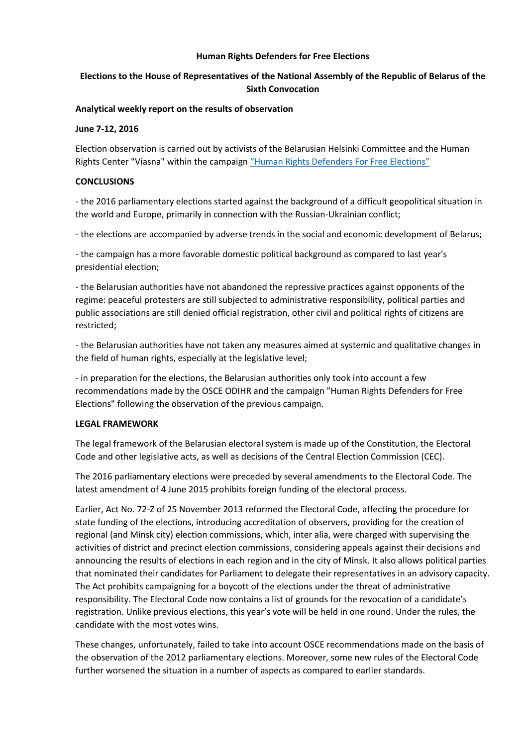### **Human Rights Defenders for Free Elections**

# **Elections to the House of Representatives of the National Assembly of the Republic of Belarus of the Sixth Convocation**

#### **Analytical weekly report on the results of observation**

#### **June 7-12, 2016**

Election observation is carried out by activists of the Belarusian Helsinki Committee and the Human Rights Center "Viasna" within the campaign ["Human Rights Defenders For Free Elections"](http://elections2016.spring96.org/en)

### **CONCLUSIONS**

- the 2016 parliamentary elections started against the background of a difficult geopolitical situation in the world and Europe, primarily in connection with the Russian-Ukrainian conflict;

- the elections are accompanied by adverse trends in the social and economic development of Belarus;

- the campaign has a more favorable domestic political background as compared to last year's presidential election;

- the Belarusian authorities have not abandoned the repressive practices against opponents of the regime: peaceful protesters are still subjected to administrative responsibility, political parties and public associations are still denied official registration, other civil and political rights of citizens are restricted;

- the Belarusian authorities have not taken any measures aimed at systemic and qualitative changes in the field of human rights, especially at the legislative level;

- in preparation for the elections, the Belarusian authorities only took into account a few recommendations made by the OSCE ODIHR and the campaign "Human Rights Defenders for Free Elections" following the observation of the previous campaign.

#### **LEGAL FRAMEWORK**

The legal framework of the Belarusian electoral system is made up of the Constitution, the Electoral Code and other legislative acts, as well as decisions of the Central Election Commission (CEC).

The 2016 parliamentary elections were preceded by several amendments to the Electoral Code. The latest amendment of 4 June 2015 prohibits foreign funding of the electoral process.

Earlier, Act No. 72-Z of 25 November 2013 reformed the Electoral Code, affecting the procedure for state funding of the elections, introducing accreditation of observers, providing for the creation of regional (and Minsk city) election commissions, which, inter alia, were charged with supervising the activities of district and precinct election commissions, considering appeals against their decisions and announcing the results of elections in each region and in the city of Minsk. It also allows political parties that nominated their candidates for Parliament to delegate their representatives in an advisory capacity. The Act prohibits campaigning for a boycott of the elections under the threat of administrative responsibility. The Electoral Code now contains a list of grounds for the revocation of a candidate's registration. Unlike previous elections, this year's vote will be held in one round. Under the rules, the candidate with the most votes wins.

These changes, unfortunately, failed to take into account OSCE recommendations made on the basis of the observation of the 2012 parliamentary elections. Moreover, some new rules of the Electoral Code further worsened the situation in a number of aspects as compared to earlier standards.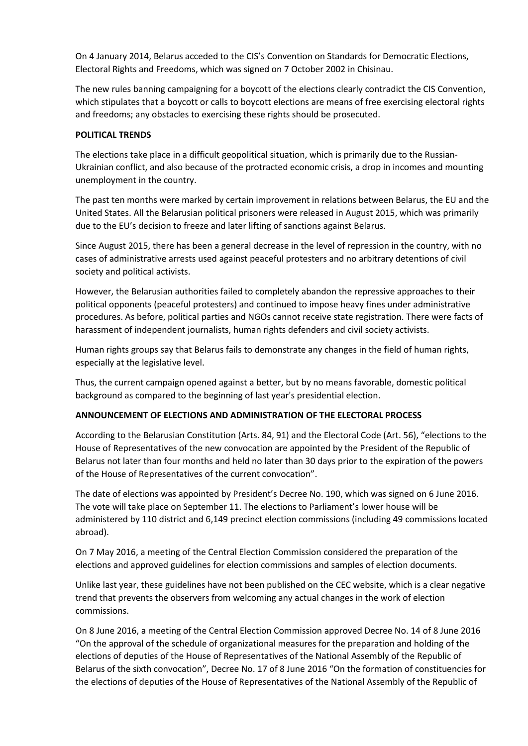On 4 January 2014, Belarus acceded to the CIS's Convention on Standards for Democratic Elections, Electoral Rights and Freedoms, which was signed on 7 October 2002 in Chisinau.

The new rules banning campaigning for a boycott of the elections clearly contradict the CIS Convention, which stipulates that a boycott or calls to boycott elections are means of free exercising electoral rights and freedoms; any obstacles to exercising these rights should be prosecuted.

## **POLITICAL TRENDS**

The elections take place in a difficult geopolitical situation, which is primarily due to the Russian-Ukrainian conflict, and also because of the protracted economic crisis, a drop in incomes and mounting unemployment in the country.

The past ten months were marked by certain improvement in relations between Belarus, the EU and the United States. All the Belarusian political prisoners were released in August 2015, which was primarily due to the EU's decision to freeze and later lifting of sanctions against Belarus.

Since August 2015, there has been a general decrease in the level of repression in the country, with no cases of administrative arrests used against peaceful protesters and no arbitrary detentions of civil society and political activists.

However, the Belarusian authorities failed to completely abandon the repressive approaches to their political opponents (peaceful protesters) and continued to impose heavy fines under administrative procedures. As before, political parties and NGOs cannot receive state registration. There were facts of harassment of independent journalists, human rights defenders and civil society activists.

Human rights groups say that Belarus fails to demonstrate any changes in the field of human rights, especially at the legislative level.

Thus, the current campaign opened against a better, but by no means favorable, domestic political background as compared to the beginning of last year's presidential election.

# **ANNOUNCEMENT OF ELECTIONS AND ADMINISTRATION OF THE ELECTORAL PROCESS**

According to the Belarusian Constitution (Arts. 84, 91) and the Electoral Code (Art. 56), "elections to the House of Representatives of the new convocation are appointed by the President of the Republic of Belarus not later than four months and held no later than 30 days prior to the expiration of the powers of the House of Representatives of the current convocation".

The date of elections was appointed by President's Decree No. 190, which was signed on 6 June 2016. The vote will take place on September 11. The elections to Parliament's lower house will be administered by 110 district and 6,149 precinct election commissions (including 49 commissions located abroad).

On 7 May 2016, a meeting of the Central Election Commission considered the preparation of the elections and approved guidelines for election commissions and samples of election documents.

Unlike last year, these guidelines have not been published on the CEC website, which is a clear negative trend that prevents the observers from welcoming any actual changes in the work of election commissions.

On 8 June 2016, a meeting of the Central Election Commission approved Decree No. 14 of 8 June 2016 "On the approval of the schedule of organizational measures for the preparation and holding of the elections of deputies of the House of Representatives of the National Assembly of the Republic of Belarus of the sixth convocation", Decree No. 17 of 8 June 2016 "On the formation of constituencies for the elections of deputies of the House of Representatives of the National Assembly of the Republic of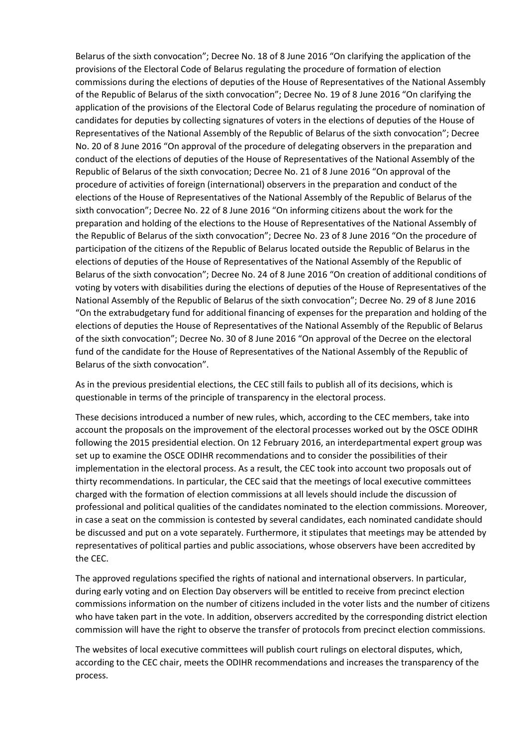Belarus of the sixth convocation"; Decree No. 18 of 8 June 2016 "On clarifying the application of the provisions of the Electoral Code of Belarus regulating the procedure of formation of election commissions during the elections of deputies of the House of Representatives of the National Assembly of the Republic of Belarus of the sixth convocation"; Decree No. 19 of 8 June 2016 "On clarifying the application of the provisions of the Electoral Code of Belarus regulating the procedure of nomination of candidates for deputies by collecting signatures of voters in the elections of deputies of the House of Representatives of the National Assembly of the Republic of Belarus of the sixth convocation"; Decree No. 20 of 8 June 2016 "On approval of the procedure of delegating observers in the preparation and conduct of the elections of deputies of the House of Representatives of the National Assembly of the Republic of Belarus of the sixth convocation; Decree No. 21 of 8 June 2016 "On approval of the procedure of activities of foreign (international) observers in the preparation and conduct of the elections of the House of Representatives of the National Assembly of the Republic of Belarus of the sixth convocation"; Decree No. 22 of 8 June 2016 "On informing citizens about the work for the preparation and holding of the elections to the House of Representatives of the National Assembly of the Republic of Belarus of the sixth convocation"; Decree No. 23 of 8 June 2016 "On the procedure of participation of the citizens of the Republic of Belarus located outside the Republic of Belarus in the elections of deputies of the House of Representatives of the National Assembly of the Republic of Belarus of the sixth convocation"; Decree No. 24 of 8 June 2016 "On creation of additional conditions of voting by voters with disabilities during the elections of deputies of the House of Representatives of the National Assembly of the Republic of Belarus of the sixth convocation"; Decree No. 29 of 8 June 2016 "On the extrabudgetary fund for additional financing of expenses for the preparation and holding of the elections of deputies the House of Representatives of the National Assembly of the Republic of Belarus of the sixth convocation"; Decree No. 30 of 8 June 2016 "On approval of the Decree on the electoral fund of the candidate for the House of Representatives of the National Assembly of the Republic of Belarus of the sixth convocation".

As in the previous presidential elections, the CEC still fails to publish all of its decisions, which is questionable in terms of the principle of transparency in the electoral process.

These decisions introduced a number of new rules, which, according to the CEC members, take into account the proposals on the improvement of the electoral processes worked out by the OSCE ODIHR following the 2015 presidential election. On 12 February 2016, an interdepartmental expert group was set up to examine the OSCE ODIHR recommendations and to consider the possibilities of their implementation in the electoral process. As a result, the CEC took into account two proposals out of thirty recommendations. In particular, the CEC said that the meetings of local executive committees charged with the formation of election commissions at all levels should include the discussion of professional and political qualities of the candidates nominated to the election commissions. Moreover, in case a seat on the commission is contested by several candidates, each nominated candidate should be discussed and put on a vote separately. Furthermore, it stipulates that meetings may be attended by representatives of political parties and public associations, whose observers have been accredited by the CEC.

The approved regulations specified the rights of national and international observers. In particular, during early voting and on Election Day observers will be entitled to receive from precinct election commissions information on the number of citizens included in the voter lists and the number of citizens who have taken part in the vote. In addition, observers accredited by the corresponding district election commission will have the right to observe the transfer of protocols from precinct election commissions.

The websites of local executive committees will publish court rulings on electoral disputes, which, according to the CEC chair, meets the ODIHR recommendations and increases the transparency of the process.